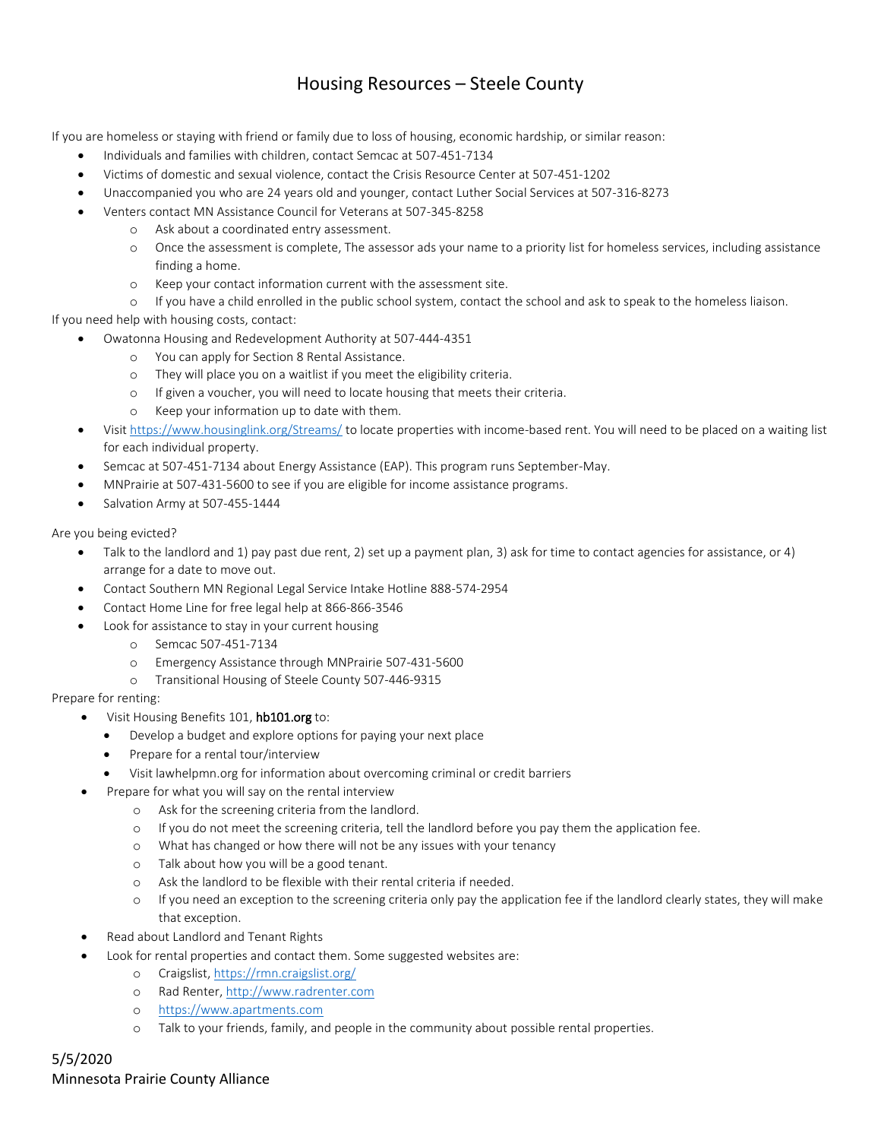## Housing Resources – Steele County

If you are homeless or staying with friend or family due to loss of housing, economic hardship, or similar reason:

- Individuals and families with children, contact Semcac at 507-451-7134
- Victims of domestic and sexual violence, contact the Crisis Resource Center at 507-451-1202
- Unaccompanied you who are 24 years old and younger, contact Luther Social Services at 507-316-8273
	- Venters contact MN Assistance Council for Veterans at 507-345-8258
		- o Ask about a coordinated entry assessment.
			- o Once the assessment is complete, The assessor ads your name to a priority list for homeless services, including assistance finding a home.
			- o Keep your contact information current with the assessment site.

o If you have a child enrolled in the public school system, contact the school and ask to speak to the homeless liaison.

If you need help with housing costs, contact:

- Owatonna Housing and Redevelopment Authority at 507-444-4351
	- o You can apply for Section 8 Rental Assistance.
	- o They will place you on a waitlist if you meet the eligibility criteria.
	- o If given a voucher, you will need to locate housing that meets their criteria.
	- o Keep your information up to date with them.
- Visi[t https://www.housinglink.org/Streams/](https://www.housinglink.org/Streams/) to locate properties with income-based rent. You will need to be placed on a waiting list for each individual property.
- Semcac at 507-451-7134 about Energy Assistance (EAP). This program runs September-May.
- MNPrairie at 507-431-5600 to see if you are eligible for income assistance programs.
- Salvation Army at 507-455-1444

Are you being evicted?

- Talk to the landlord and 1) pay past due rent, 2) set up a payment plan, 3) ask for time to contact agencies for assistance, or 4) arrange for a date to move out.
- Contact Southern MN Regional Legal Service Intake Hotline 888-574-2954
- Contact Home Line for free legal help at 866-866-3546
- Look for assistance to stay in your current housing
	- o Semcac 507-451-7134
	- o Emergency Assistance through MNPrairie 507-431-5600
	- o Transitional Housing of Steele County 507-446-9315

Prepare for renting:

- Visit Housing Benefits 101, hb101.org to:
	- Develop a budget and explore options for paying your next place
	- Prepare for a rental tour/interview
	- Visit lawhelpmn.org for information about overcoming criminal or credit barriers
- Prepare for what you will say on the rental interview
	- o Ask for the screening criteria from the landlord.
	- o If you do not meet the screening criteria, tell the landlord before you pay them the application fee.
	- o What has changed or how there will not be any issues with your tenancy
	- o Talk about how you will be a good tenant.
	- o Ask the landlord to be flexible with their rental criteria if needed.
	- o If you need an exception to the screening criteria only pay the application fee if the landlord clearly states, they will make that exception.
- Read about Landlord and Tenant Rights
- Look for rental properties and contact them. Some suggested websites are:
	- o Craigslist,<https://rmn.craigslist.org/>
	- o Rad Renter, [http://www.radrenter.com](http://www.radrenter.com/)
	- o [https://www.apartments.com](https://www.apartments.com/)
	- o Talk to your friends, family, and people in the community about possible rental properties.